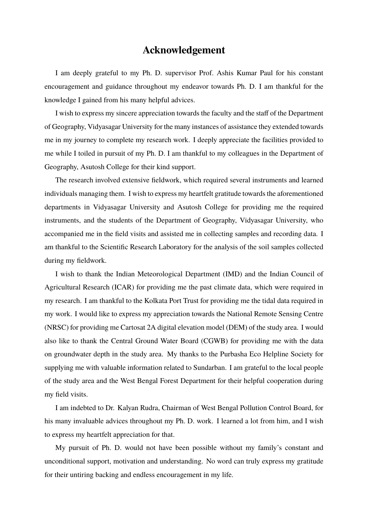## **Acknowledgement**

I am deeply grateful to my Ph. D. supervisor Prof. Ashis Kumar Paul for his constant encouragement and guidance throughout my endeavor towards Ph. D. I am thankful for the knowledge I gained from his many helpful advices.

I wish to express my sincere appreciation towards the faculty and the staff of the Department of Geography, Vidyasagar University for the many instances of assistance they extended towards me in my journey to complete my research work. I deeply appreciate the facilities provided to me while I toiled in pursuit of my Ph. D. I am thankful to my colleagues in the Department of Geography, Asutosh College for their kind support.

The research involved extensive fieldwork, which required several instruments and learned individuals managing them. I wish to express my heartfelt gratitude towards the aforementioned departments in Vidyasagar University and Asutosh College for providing me the required instruments, and the students of the Department of Geography, Vidyasagar University, who accompanied me in the field visits and assisted me in collecting samples and recording data. I am thankful to the Scientific Research Laboratory for the analysis of the soil samples collected during my fieldwork.

I wish to thank the Indian Meteorological Department (IMD) and the Indian Council of Agricultural Research (ICAR) for providing me the past climate data, which were required in my research. I am thankful to the Kolkata Port Trust for providing me the tidal data required in my work. I would like to express my appreciation towards the National Remote Sensing Centre (NRSC) for providing me Cartosat 2A digital elevation model (DEM) of the study area. I would also like to thank the Central Ground Water Board (CGWB) for providing me with the data on groundwater depth in the study area. My thanks to the Purbasha Eco Helpline Society for supplying me with valuable information related to Sundarban. I am grateful to the local people of the study area and the West Bengal Forest Department for their helpful cooperation during my field visits.

I am indebted to Dr. Kalyan Rudra, Chairman of West Bengal Pollution Control Board, for his many invaluable advices throughout my Ph. D. work. I learned a lot from him, and I wish to express my heartfelt appreciation for that.

My pursuit of Ph. D. would not have been possible without my family's constant and unconditional support, motivation and understanding. No word can truly express my gratitude for their untiring backing and endless encouragement in my life.